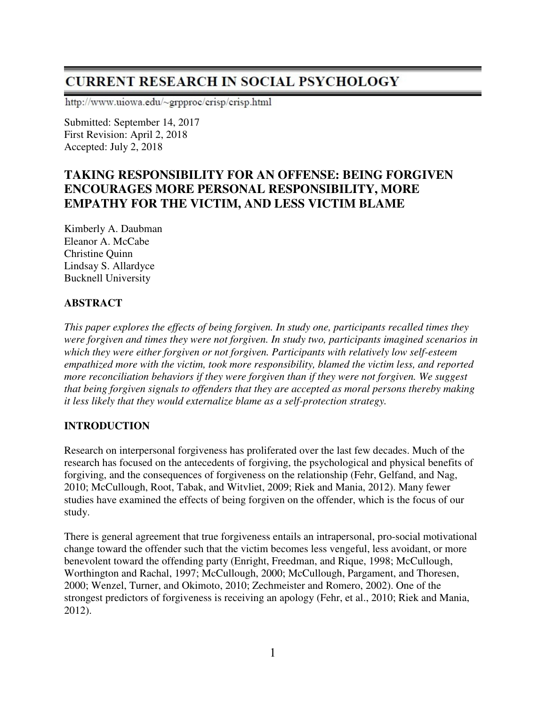# **CURRENT RESEARCH IN SOCIAL PSYCHOLOGY**

http://www.uiowa.edu/~grpproc/crisp/crisp.html

Submitted: September 14, 2017 First Revision: April 2, 2018 Accepted: July 2, 2018

## **TAKING RESPONSIBILITY FOR AN OFFENSE: BEING FORGIVEN ENCOURAGES MORE PERSONAL RESPONSIBILITY, MORE EMPATHY FOR THE VICTIM, AND LESS VICTIM BLAME**

Kimberly A. Daubman Eleanor A. McCabe Christine Quinn Lindsay S. Allardyce Bucknell University

## **ABSTRACT**

*This paper explores the effects of being forgiven. In study one, participants recalled times they were forgiven and times they were not forgiven. In study two, participants imagined scenarios in which they were either forgiven or not forgiven. Participants with relatively low self-esteem empathized more with the victim, took more responsibility, blamed the victim less, and reported more reconciliation behaviors if they were forgiven than if they were not forgiven. We suggest that being forgiven signals to offenders that they are accepted as moral persons thereby making it less likely that they would externalize blame as a self-protection strategy.* 

## **INTRODUCTION**

Research on interpersonal forgiveness has proliferated over the last few decades. Much of the research has focused on the antecedents of forgiving, the psychological and physical benefits of forgiving, and the consequences of forgiveness on the relationship (Fehr, Gelfand, and Nag, 2010; McCullough, Root, Tabak, and Witvliet, 2009; Riek and Mania, 2012). Many fewer studies have examined the effects of being forgiven on the offender, which is the focus of our study.

There is general agreement that true forgiveness entails an intrapersonal, pro-social motivational change toward the offender such that the victim becomes less vengeful, less avoidant, or more benevolent toward the offending party (Enright, Freedman, and Rique, 1998; McCullough, Worthington and Rachal, 1997; McCullough, 2000; McCullough, Pargament, and Thoresen, 2000; Wenzel, Turner, and Okimoto, 2010; Zechmeister and Romero, 2002). One of the strongest predictors of forgiveness is receiving an apology (Fehr, et al., 2010; Riek and Mania, 2012).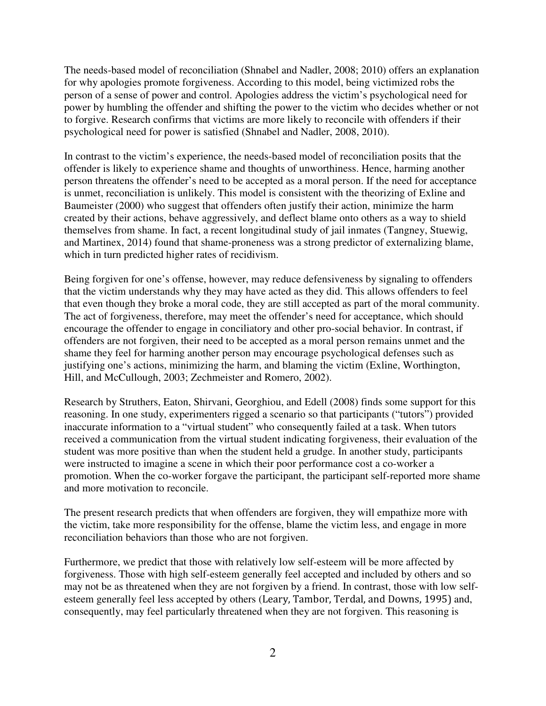The needs-based model of reconciliation (Shnabel and Nadler, 2008; 2010) offers an explanation for why apologies promote forgiveness. According to this model, being victimized robs the person of a sense of power and control. Apologies address the victim's psychological need for power by humbling the offender and shifting the power to the victim who decides whether or not to forgive. Research confirms that victims are more likely to reconcile with offenders if their psychological need for power is satisfied (Shnabel and Nadler, 2008, 2010).

In contrast to the victim's experience, the needs-based model of reconciliation posits that the offender is likely to experience shame and thoughts of unworthiness. Hence, harming another person threatens the offender's need to be accepted as a moral person. If the need for acceptance is unmet, reconciliation is unlikely. This model is consistent with the theorizing of Exline and Baumeister (2000) who suggest that offenders often justify their action, minimize the harm created by their actions, behave aggressively, and deflect blame onto others as a way to shield themselves from shame. In fact, a recent longitudinal study of jail inmates (Tangney, Stuewig, and Martinex, 2014) found that shame-proneness was a strong predictor of externalizing blame, which in turn predicted higher rates of recidivism.

Being forgiven for one's offense, however, may reduce defensiveness by signaling to offenders that the victim understands why they may have acted as they did. This allows offenders to feel that even though they broke a moral code, they are still accepted as part of the moral community. The act of forgiveness, therefore, may meet the offender's need for acceptance, which should encourage the offender to engage in conciliatory and other pro-social behavior. In contrast, if offenders are not forgiven, their need to be accepted as a moral person remains unmet and the shame they feel for harming another person may encourage psychological defenses such as justifying one's actions, minimizing the harm, and blaming the victim (Exline, Worthington, Hill, and McCullough, 2003; Zechmeister and Romero, 2002).

Research by Struthers, Eaton, Shirvani, Georghiou, and Edell (2008) finds some support for this reasoning. In one study, experimenters rigged a scenario so that participants ("tutors") provided inaccurate information to a "virtual student" who consequently failed at a task. When tutors received a communication from the virtual student indicating forgiveness, their evaluation of the student was more positive than when the student held a grudge. In another study, participants were instructed to imagine a scene in which their poor performance cost a co-worker a promotion. When the co-worker forgave the participant, the participant self-reported more shame and more motivation to reconcile.

The present research predicts that when offenders are forgiven, they will empathize more with the victim, take more responsibility for the offense, blame the victim less, and engage in more reconciliation behaviors than those who are not forgiven.

Furthermore, we predict that those with relatively low self-esteem will be more affected by forgiveness. Those with high self-esteem generally feel accepted and included by others and so may not be as threatened when they are not forgiven by a friend. In contrast, those with low selfesteem generally feel less accepted by others (Leary, Tambor, Terdal, and Downs, 1995) and, consequently, may feel particularly threatened when they are not forgiven. This reasoning is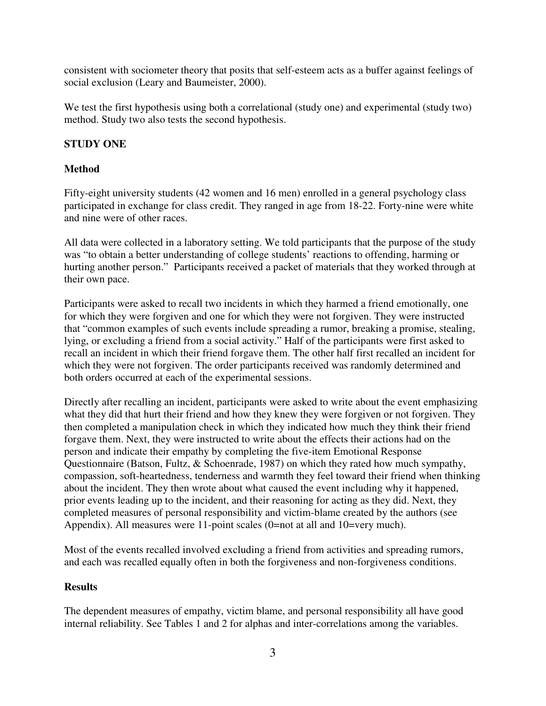consistent with sociometer theory that posits that self-esteem acts as a buffer against feelings of social exclusion (Leary and Baumeister, 2000).

We test the first hypothesis using both a correlational (study one) and experimental (study two) method. Study two also tests the second hypothesis.

## **STUDY ONE**

## **Method**

Fifty-eight university students (42 women and 16 men) enrolled in a general psychology class participated in exchange for class credit. They ranged in age from 18-22. Forty-nine were white and nine were of other races.

All data were collected in a laboratory setting. We told participants that the purpose of the study was "to obtain a better understanding of college students' reactions to offending, harming or hurting another person." Participants received a packet of materials that they worked through at their own pace.

Participants were asked to recall two incidents in which they harmed a friend emotionally, one for which they were forgiven and one for which they were not forgiven. They were instructed that "common examples of such events include spreading a rumor, breaking a promise, stealing, lying, or excluding a friend from a social activity." Half of the participants were first asked to recall an incident in which their friend forgave them. The other half first recalled an incident for which they were not forgiven. The order participants received was randomly determined and both orders occurred at each of the experimental sessions.

Directly after recalling an incident, participants were asked to write about the event emphasizing what they did that hurt their friend and how they knew they were forgiven or not forgiven. They then completed a manipulation check in which they indicated how much they think their friend forgave them. Next, they were instructed to write about the effects their actions had on the person and indicate their empathy by completing the five-item Emotional Response Questionnaire (Batson, Fultz, & Schoenrade, 1987) on which they rated how much sympathy, compassion, soft-heartedness, tenderness and warmth they feel toward their friend when thinking about the incident. They then wrote about what caused the event including why it happened, prior events leading up to the incident, and their reasoning for acting as they did. Next, they completed measures of personal responsibility and victim-blame created by the authors (see Appendix). All measures were 11-point scales (0=not at all and 10=very much).

Most of the events recalled involved excluding a friend from activities and spreading rumors, and each was recalled equally often in both the forgiveness and non-forgiveness conditions.

#### **Results**

The dependent measures of empathy, victim blame, and personal responsibility all have good internal reliability. See Tables 1 and 2 for alphas and inter-correlations among the variables.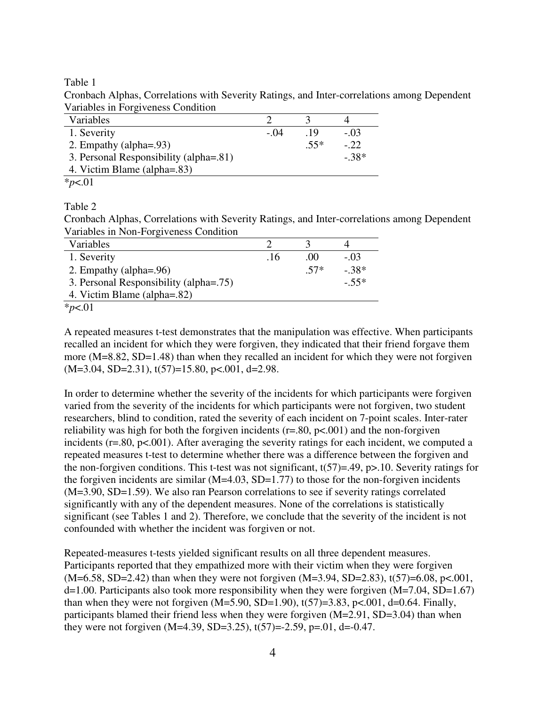Table 1

Cronbach Alphas, Correlations with Severity Ratings, and Inter-correlations among Dependent Variables in Forgiveness Condition

| Variables                              |        |        |         |
|----------------------------------------|--------|--------|---------|
| 1. Severity                            | $-.04$ | -19    | $-.03$  |
| 2. Empathy (alpha=.93)                 |        | $.55*$ | $-.22$  |
| 3. Personal Responsibility (alpha=.81) |        |        | $-.38*$ |
| 4. Victim Blame (alpha=.83)            |        |        |         |
| $*_{p<.01}$                            |        |        |         |

Table 2

Cronbach Alphas, Correlations with Severity Ratings, and Inter-correlations among Dependent Variables in Non-Forgiveness Condition

| Variables                              |     |        |         |
|----------------------------------------|-----|--------|---------|
| 1. Severity                            | .16 | .00    | $-.03$  |
| 2. Empathy (alpha=.96)                 |     | $.57*$ | $-.38*$ |
| 3. Personal Responsibility (alpha=.75) |     |        | $-.55*$ |
| 4. Victim Blame (alpha=.82)            |     |        |         |
| * $p<.01$                              |     |        |         |

A repeated measures t-test demonstrates that the manipulation was effective. When participants recalled an incident for which they were forgiven, they indicated that their friend forgave them more (M=8.82, SD=1.48) than when they recalled an incident for which they were not forgiven  $(M=3.04, SD=2.31), t(57)=15.80, p<0.01, d=2.98.$ 

In order to determine whether the severity of the incidents for which participants were forgiven varied from the severity of the incidents for which participants were not forgiven, two student researchers, blind to condition, rated the severity of each incident on 7-point scales. Inter-rater reliability was high for both the forgiven incidents  $(r=.80, p<.001)$  and the non-forgiven incidents (r=.80, p<.001). After averaging the severity ratings for each incident, we computed a repeated measures t-test to determine whether there was a difference between the forgiven and the non-forgiven conditions. This t-test was not significant,  $t(57)=.49$ , p $>10$ . Severity ratings for the forgiven incidents are similar  $(M=4.03, SD=1.77)$  to those for the non-forgiven incidents (M=3.90, SD=1.59). We also ran Pearson correlations to see if severity ratings correlated significantly with any of the dependent measures. None of the correlations is statistically significant (see Tables 1 and 2). Therefore, we conclude that the severity of the incident is not confounded with whether the incident was forgiven or not.

Repeated-measures t-tests yielded significant results on all three dependent measures. Participants reported that they empathized more with their victim when they were forgiven  $(M=6.58, SD=2.42)$  than when they were not forgiven  $(M=3.94, SD=2.83)$ ,  $t(57)=6.08$ ,  $p<.001$ ,  $d=1.00$ . Participants also took more responsibility when they were forgiven  $(M=7.04, SD=1.67)$ than when they were not forgiven  $(M=5.90, SD=1.90)$ ,  $t(57)=3.83$ ,  $p<.001$ ,  $d=0.64$ . Finally, participants blamed their friend less when they were forgiven (M=2.91, SD=3.04) than when they were not forgiven (M=4.39, SD=3.25),  $t(57)=2.59$ , p=.01, d=-0.47.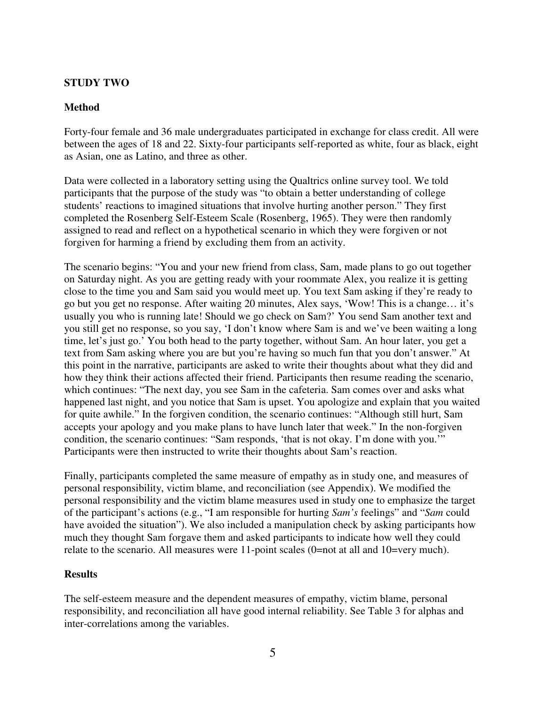#### **STUDY TWO**

#### **Method**

Forty-four female and 36 male undergraduates participated in exchange for class credit. All were between the ages of 18 and 22. Sixty-four participants self-reported as white, four as black, eight as Asian, one as Latino, and three as other.

Data were collected in a laboratory setting using the Qualtrics online survey tool. We told participants that the purpose of the study was "to obtain a better understanding of college students' reactions to imagined situations that involve hurting another person." They first completed the Rosenberg Self-Esteem Scale (Rosenberg, 1965). They were then randomly assigned to read and reflect on a hypothetical scenario in which they were forgiven or not forgiven for harming a friend by excluding them from an activity.

The scenario begins: "You and your new friend from class, Sam, made plans to go out together on Saturday night. As you are getting ready with your roommate Alex, you realize it is getting close to the time you and Sam said you would meet up. You text Sam asking if they're ready to go but you get no response. After waiting 20 minutes, Alex says, 'Wow! This is a change… it's usually you who is running late! Should we go check on Sam?' You send Sam another text and you still get no response, so you say, 'I don't know where Sam is and we've been waiting a long time, let's just go.' You both head to the party together, without Sam. An hour later, you get a text from Sam asking where you are but you're having so much fun that you don't answer." At this point in the narrative, participants are asked to write their thoughts about what they did and how they think their actions affected their friend. Participants then resume reading the scenario, which continues: "The next day, you see Sam in the cafeteria. Sam comes over and asks what happened last night, and you notice that Sam is upset. You apologize and explain that you waited for quite awhile." In the forgiven condition, the scenario continues: "Although still hurt, Sam accepts your apology and you make plans to have lunch later that week." In the non-forgiven condition, the scenario continues: "Sam responds, 'that is not okay. I'm done with you.'" Participants were then instructed to write their thoughts about Sam's reaction.

Finally, participants completed the same measure of empathy as in study one, and measures of personal responsibility, victim blame, and reconciliation (see Appendix). We modified the personal responsibility and the victim blame measures used in study one to emphasize the target of the participant's actions (e.g., "I am responsible for hurting *Sam's* feelings" and "*Sam* could have avoided the situation"). We also included a manipulation check by asking participants how much they thought Sam forgave them and asked participants to indicate how well they could relate to the scenario. All measures were 11-point scales (0=not at all and 10=very much).

#### **Results**

The self-esteem measure and the dependent measures of empathy, victim blame, personal responsibility, and reconciliation all have good internal reliability. See Table 3 for alphas and inter-correlations among the variables.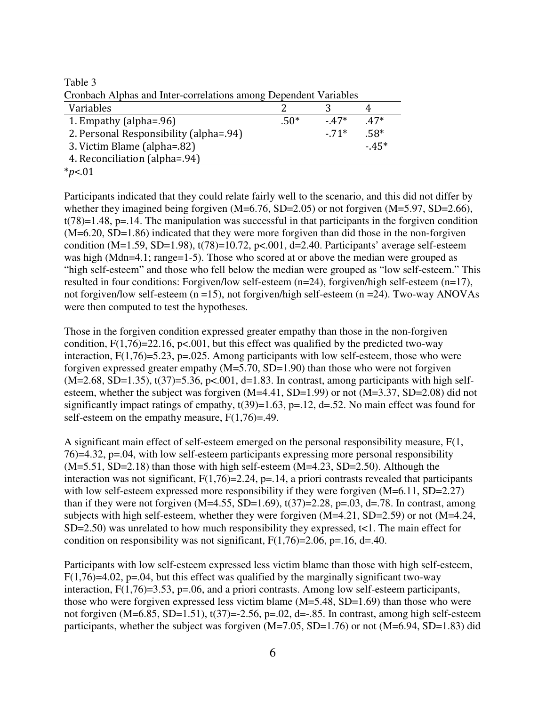Table 3 Cronbach Alphas and Inter-correlations among Dependent Variables

| Cronoach Alphas and Inter-correlations among Dependent variables |        |        |        |
|------------------------------------------------------------------|--------|--------|--------|
| Variables                                                        |        |        |        |
| 1. Empathy (alpha=.96)                                           | $.50*$ | $-47*$ | $.47*$ |
| 2. Personal Responsibility (alpha=.94)                           |        | $-71*$ | $.58*$ |
| 3. Victim Blame (alpha=.82)                                      |        |        | $-45*$ |
| 4. Reconciliation (alpha=.94)                                    |        |        |        |
| $*_{p<.01}$                                                      |        |        |        |

Participants indicated that they could relate fairly well to the scenario, and this did not differ by whether they imagined being forgiven (M=6.76, SD=2.05) or not forgiven (M=5.97, SD=2.66),  $t(78)=1.48$ , p=.14. The manipulation was successful in that participants in the forgiven condition (M=6.20, SD=1.86) indicated that they were more forgiven than did those in the non-forgiven condition (M=1.59, SD=1.98),  $t(78)=10.72$ ,  $p<.001$ ,  $d=2.40$ . Participants' average self-esteem was high (Mdn=4.1; range=1-5). Those who scored at or above the median were grouped as "high self-esteem" and those who fell below the median were grouped as "low self-esteem." This resulted in four conditions: Forgiven/low self-esteem (n=24), forgiven/high self-esteem (n=17), not forgiven/low self-esteem (n =15), not forgiven/high self-esteem (n =24). Two-way ANOVAs were then computed to test the hypotheses.

Those in the forgiven condition expressed greater empathy than those in the non-forgiven condition,  $F(1,76)=22.16$ ,  $p<.001$ , but this effect was qualified by the predicted two-way interaction,  $F(1,76)=5.23$ ,  $p=.025$ . Among participants with low self-esteem, those who were forgiven expressed greater empathy  $(M=5.70, SD=1.90)$  than those who were not forgiven  $(M=2.68, SD=1.35)$ , t(37)=5.36, p<.001, d=1.83. In contrast, among participants with high selfesteem, whether the subject was forgiven (M=4.41, SD=1.99) or not (M=3.37, SD=2.08) did not significantly impact ratings of empathy,  $t(39)=1.63$ , p=.12, d=.52. No main effect was found for self-esteem on the empathy measure,  $F(1,76)=0.49$ .

A significant main effect of self-esteem emerged on the personal responsibility measure, F(1, 76)=4.32, p=.04, with low self-esteem participants expressing more personal responsibility  $(M=5.51, SD=2.18)$  than those with high self-esteem  $(M=4.23, SD=2.50)$ . Although the interaction was not significant,  $F(1,76)=2.24$ ,  $p=.14$ , a priori contrasts revealed that participants with low self-esteem expressed more responsibility if they were forgiven  $(M=6.11, SD=2.27)$ than if they were not forgiven  $(M=4.55, SD=1.69)$ ,  $t(37)=2.28$ ,  $p=.03$ ,  $d=.78$ . In contrast, among subjects with high self-esteem, whether they were forgiven (M=4.21, SD=2.59) or not (M=4.24, SD=2.50) was unrelated to how much responsibility they expressed,  $t < 1$ . The main effect for condition on responsibility was not significant,  $F(1,76)=2.06$ ,  $p=.16$ ,  $d=.40$ .

Participants with low self-esteem expressed less victim blame than those with high self-esteem,  $F(1,76)=4.02$ , p=.04, but this effect was qualified by the marginally significant two-way interaction, F(1,76)=3.53, p=.06, and a priori contrasts. Among low self-esteem participants, those who were forgiven expressed less victim blame (M=5.48, SD=1.69) than those who were not forgiven  $(M=6.85, SD=1.51)$ ,  $t(37)=2.56$ ,  $p=.02$ ,  $d=-.85$ . In contrast, among high self-esteem participants, whether the subject was forgiven (M=7.05, SD=1.76) or not (M=6.94, SD=1.83) did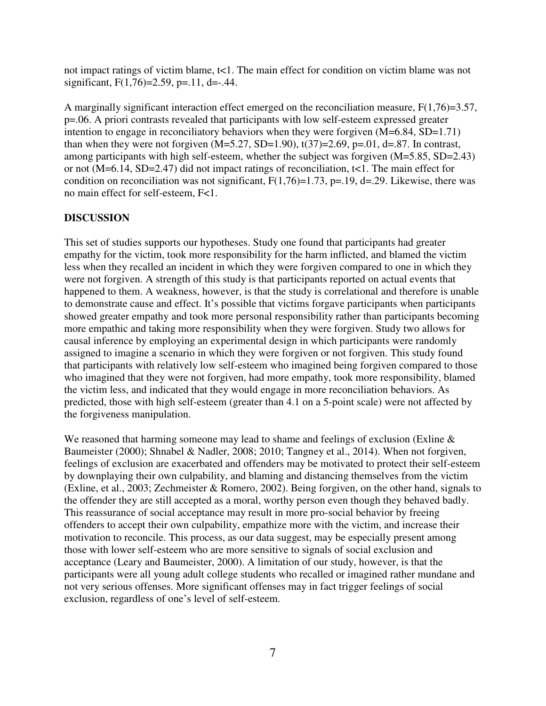not impact ratings of victim blame, t<1. The main effect for condition on victim blame was not significant,  $F(1,76)=2.59$ , p=.11, d=-.44.

A marginally significant interaction effect emerged on the reconciliation measure, F(1,76)=3.57, p=.06. A priori contrasts revealed that participants with low self-esteem expressed greater intention to engage in reconciliatory behaviors when they were forgiven (M=6.84, SD=1.71) than when they were not forgiven  $(M=5.27, SD=1.90)$ ,  $t(37)=2.69, p=.01, d=.87$ . In contrast, among participants with high self-esteem, whether the subject was forgiven (M=5.85, SD=2.43) or not (M=6.14, SD=2.47) did not impact ratings of reconciliation, t<1. The main effect for condition on reconciliation was not significant,  $F(1,76)=1.73$ ,  $p=.19$ ,  $d=.29$ . Likewise, there was no main effect for self-esteem, F<1.

#### **DISCUSSION**

This set of studies supports our hypotheses. Study one found that participants had greater empathy for the victim, took more responsibility for the harm inflicted, and blamed the victim less when they recalled an incident in which they were forgiven compared to one in which they were not forgiven. A strength of this study is that participants reported on actual events that happened to them. A weakness, however, is that the study is correlational and therefore is unable to demonstrate cause and effect. It's possible that victims forgave participants when participants showed greater empathy and took more personal responsibility rather than participants becoming more empathic and taking more responsibility when they were forgiven. Study two allows for causal inference by employing an experimental design in which participants were randomly assigned to imagine a scenario in which they were forgiven or not forgiven. This study found that participants with relatively low self-esteem who imagined being forgiven compared to those who imagined that they were not forgiven, had more empathy, took more responsibility, blamed the victim less, and indicated that they would engage in more reconciliation behaviors. As predicted, those with high self-esteem (greater than 4.1 on a 5-point scale) were not affected by the forgiveness manipulation.

We reasoned that harming someone may lead to shame and feelings of exclusion (Exline & Baumeister (2000); Shnabel & Nadler, 2008; 2010; Tangney et al., 2014). When not forgiven, feelings of exclusion are exacerbated and offenders may be motivated to protect their self-esteem by downplaying their own culpability, and blaming and distancing themselves from the victim (Exline, et al., 2003; Zechmeister & Romero, 2002). Being forgiven, on the other hand, signals to the offender they are still accepted as a moral, worthy person even though they behaved badly. This reassurance of social acceptance may result in more pro-social behavior by freeing offenders to accept their own culpability, empathize more with the victim, and increase their motivation to reconcile. This process, as our data suggest, may be especially present among those with lower self-esteem who are more sensitive to signals of social exclusion and acceptance (Leary and Baumeister, 2000). A limitation of our study, however, is that the participants were all young adult college students who recalled or imagined rather mundane and not very serious offenses. More significant offenses may in fact trigger feelings of social exclusion, regardless of one's level of self-esteem.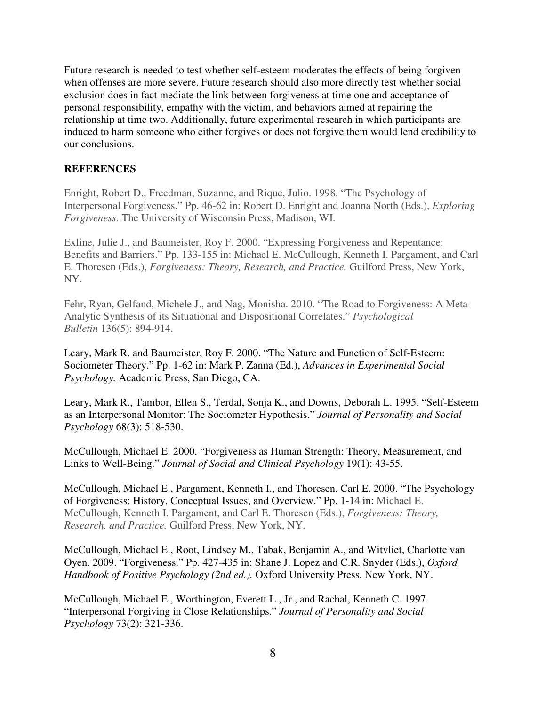Future research is needed to test whether self-esteem moderates the effects of being forgiven when offenses are more severe. Future research should also more directly test whether social exclusion does in fact mediate the link between forgiveness at time one and acceptance of personal responsibility, empathy with the victim, and behaviors aimed at repairing the relationship at time two. Additionally, future experimental research in which participants are induced to harm someone who either forgives or does not forgive them would lend credibility to our conclusions.

## **REFERENCES**

Enright, Robert D., Freedman, Suzanne, and Rique, Julio. 1998. "The Psychology of Interpersonal Forgiveness." Pp. 46-62 in: Robert D. Enright and Joanna North (Eds.), *Exploring Forgiveness.* The University of Wisconsin Press, Madison, WI.

Exline, Julie J., and Baumeister, Roy F. 2000. "Expressing Forgiveness and Repentance: Benefits and Barriers." Pp. 133-155 in: Michael E. McCullough, Kenneth I. Pargament, and Carl E. Thoresen (Eds.), *Forgiveness: Theory, Research, and Practice.* Guilford Press, New York, NY.

Fehr, Ryan, Gelfand, Michele J., and Nag, Monisha. 2010. "The Road to Forgiveness: A Meta-Analytic Synthesis of its Situational and Dispositional Correlates." *Psychological Bulletin* 136(5): 894-914.

Leary, Mark R. and Baumeister, Roy F. 2000. "The Nature and Function of Self-Esteem: Sociometer Theory." Pp. 1-62 in: Mark P. Zanna (Ed.), *Advances in Experimental Social Psychology.* Academic Press, San Diego, CA.

Leary, Mark R., Tambor, Ellen S., Terdal, Sonja K., and Downs, Deborah L. 1995. "Self-Esteem as an Interpersonal Monitor: The Sociometer Hypothesis." *Journal of Personality and Social Psychology* 68(3): 518-530.

McCullough, Michael E. 2000. "Forgiveness as Human Strength: Theory, Measurement, and Links to Well-Being." *Journal of Social and Clinical Psychology* 19(1): 43-55.

McCullough, Michael E., Pargament, Kenneth I., and Thoresen, Carl E. 2000. "The Psychology of Forgiveness: History, Conceptual Issues, and Overview." Pp. 1-14 in: Michael E. McCullough, Kenneth I. Pargament, and Carl E. Thoresen (Eds.), *Forgiveness: Theory, Research, and Practice.* Guilford Press, New York, NY.

McCullough, Michael E., Root, Lindsey M., Tabak, Benjamin A., and Witvliet, Charlotte van Oyen. 2009. "Forgiveness." Pp. 427-435 in: Shane J. Lopez and C.R. Snyder (Eds.), *Oxford Handbook of Positive Psychology (2nd ed.).* Oxford University Press, New York, NY.

McCullough, Michael E., Worthington, Everett L., Jr., and Rachal, Kenneth C. 1997. "Interpersonal Forgiving in Close Relationships." *Journal of Personality and Social Psychology* 73(2): 321-336.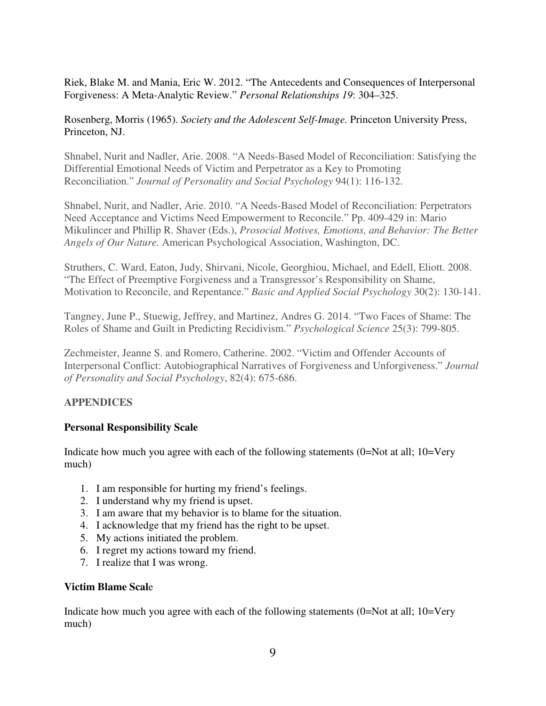Riek, Blake M. and Mania, Eric W. 2012. "The Antecedents and Consequences of Interpersonal Forgiveness: A Meta-Analytic Review." *Personal Relationships 19*: 304–325.

Rosenberg, Morris (1965). *Society and the Adolescent Self-Image.* Princeton University Press, Princeton, NJ.

Shnabel, Nurit and Nadler, Arie. 2008. "A Needs-Based Model of Reconciliation: Satisfying the Differential Emotional Needs of Victim and Perpetrator as a Key to Promoting Reconciliation." *Journal of Personality and Social Psychology* 94(1): 116-132.

Shnabel, Nurit, and Nadler, Arie. 2010. "A Needs-Based Model of Reconciliation: Perpetrators Need Acceptance and Victims Need Empowerment to Reconcile." Pp. 409-429 in: Mario Mikulincer and Phillip R. Shaver (Eds.), *Prosocial Motives, Emotions, and Behavior: The Better Angels of Our Nature.* American Psychological Association, Washington, DC.

Struthers, C. Ward, Eaton, Judy, Shirvani, Nicole, Georghiou, Michael, and Edell, Eliott. 2008. "The Effect of Preemptive Forgiveness and a Transgressor's Responsibility on Shame, Motivation to Reconcile, and Repentance." *Basic and Applied Social Psychology* 30(2): 130-141.

Tangney, June P., Stuewig, Jeffrey, and Martinez, Andres G. 2014. "Two Faces of Shame: The Roles of Shame and Guilt in Predicting Recidivism." *Psychological Science* 25(3): 799-805.

Zechmeister, Jeanne S. and Romero, Catherine. 2002. "Victim and Offender Accounts of Interpersonal Conflict: Autobiographical Narratives of Forgiveness and Unforgiveness." *Journal of Personality and Social Psychology*, 82(4): 675-686.

## **APPENDICES**

## **Personal Responsibility Scale**

Indicate how much you agree with each of the following statements  $(0=Not at all; 10=Very)$ much)

- 1. I am responsible for hurting my friend's feelings.
- 2. I understand why my friend is upset.
- 3. I am aware that my behavior is to blame for the situation.
- 4. I acknowledge that my friend has the right to be upset.
- 5. My actions initiated the problem.
- 6. I regret my actions toward my friend.
- 7. I realize that I was wrong.

#### **Victim Blame Scal**e

Indicate how much you agree with each of the following statements  $(0=Not at all; 10=Very)$ much)